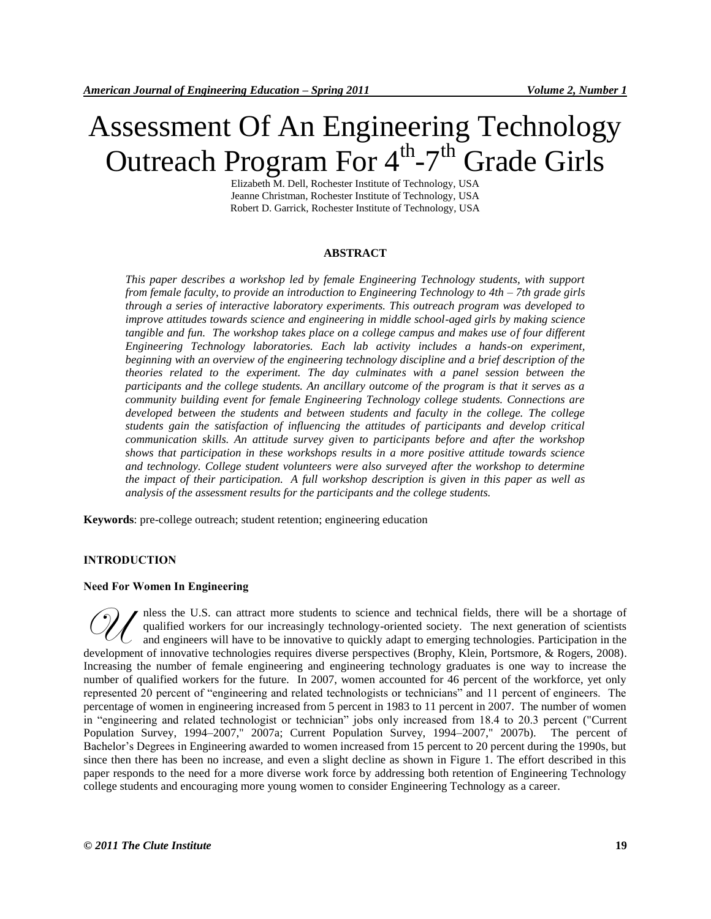# Assessment Of An Engineering Technology Outreach Program For  $4^{\text{th}}$ -7<sup>th</sup> Grade Girls

Elizabeth M. Dell, Rochester Institute of Technology, USA Jeanne Christman, Rochester Institute of Technology, USA Robert D. Garrick, Rochester Institute of Technology, USA

# **ABSTRACT**

*This paper describes a workshop led by female Engineering Technology students, with support from female faculty, to provide an introduction to Engineering Technology to 4th – 7th grade girls through a series of interactive laboratory experiments. This outreach program was developed to improve attitudes towards science and engineering in middle school-aged girls by making science tangible and fun. The workshop takes place on a college campus and makes use of four different Engineering Technology laboratories. Each lab activity includes a hands-on experiment, beginning with an overview of the engineering technology discipline and a brief description of the theories related to the experiment. The day culminates with a panel session between the participants and the college students. An ancillary outcome of the program is that it serves as a community building event for female Engineering Technology college students. Connections are developed between the students and between students and faculty in the college. The college students gain the satisfaction of influencing the attitudes of participants and develop critical communication skills. An attitude survey given to participants before and after the workshop shows that participation in these workshops results in a more positive attitude towards science and technology. College student volunteers were also surveyed after the workshop to determine the impact of their participation. A full workshop description is given in this paper as well as analysis of the assessment results for the participants and the college students.*

**Keywords**: pre-college outreach; student retention; engineering education

## **INTRODUCTION**

#### **Need For Women In Engineering**

nless the U.S. can attract more students to science and technical fields, there will be a shortage of qualified workers for our increasingly technology-oriented society. The next generation of scientists quantied workers for our increasingly commonly density  $\frac{1}{2}$ . **development of innovative technologies requires diverse perspectives (Brophy, Klein, Portsmore, & Rogers, 2008).** And engineers will have to be innovative to quickly adapt to emerging technologies. Participation in the de Increasing the number of female engineering and engineering technology graduates is one way to increase the number of qualified workers for the future. In 2007, women accounted for 46 percent of the workforce, yet only represented 20 percent of "engineering and related technologists or technicians" and 11 percent of engineers. The percentage of women in engineering increased from 5 percent in 1983 to 11 percent in 2007. The number of women in "engineering and related technologist or technician" jobs only increased from 18.4 to 20.3 percent ("Current Population Survey, 1994–2007," 2007a; Current Population Survey, 1994–2007," 2007b). The percent of Bachelor's Degrees in Engineering awarded to women increased from 15 percent to 20 percent during the 1990s, but since then there has been no increase, and even a slight decline as shown in Figure 1. The effort described in this paper responds to the need for a more diverse work force by addressing both retention of Engineering Technology college students and encouraging more young women to consider Engineering Technology as a career.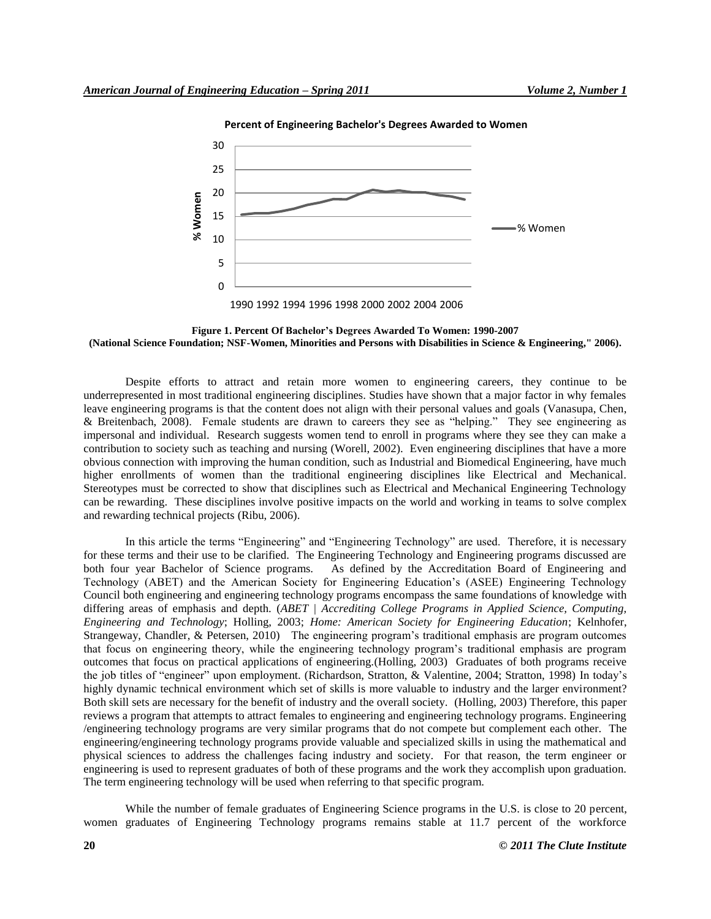

**Percent of Engineering Bachelor's Degrees Awarded to Women**

**Figure 1. Percent Of Bachelor's Degrees Awarded To Women: 1990-2007 (National Science Foundation; NSF-Women, Minorities and Persons with Disabilities in Science & Engineering," 2006).**

Despite efforts to attract and retain more women to engineering careers, they continue to be underrepresented in most traditional engineering disciplines. Studies have shown that a major factor in why females leave engineering programs is that the content does not align with their personal values and goals (Vanasupa, Chen, & Breitenbach, 2008). Female students are drawn to careers they see as "helping." They see engineering as impersonal and individual. Research suggests women tend to enroll in programs where they see they can make a contribution to society such as teaching and nursing (Worell, 2002). Even engineering disciplines that have a more obvious connection with improving the human condition, such as Industrial and Biomedical Engineering, have much higher enrollments of women than the traditional engineering disciplines like Electrical and Mechanical. Stereotypes must be corrected to show that disciplines such as Electrical and Mechanical Engineering Technology can be rewarding. These disciplines involve positive impacts on the world and working in teams to solve complex and rewarding technical projects (Ribu, 2006).

In this article the terms "Engineering" and "Engineering Technology" are used. Therefore, it is necessary for these terms and their use to be clarified. The Engineering Technology and Engineering programs discussed are both four vear Bachelor of Science programs. As defined by the Accreditation Board of Engineering and As defined by the Accreditation Board of Engineering and Technology (ABET) and the American Society for Engineering Education's (ASEE) Engineering Technology Council both engineering and engineering technology programs encompass the same foundations of knowledge with differing areas of emphasis and depth. (*ABET | Accrediting College Programs in Applied Science, Computing, Engineering and Technology*; Holling, 2003; *Home: American Society for Engineering Education*; Kelnhofer, Strangeway, Chandler, & Petersen, 2010) The engineering program's traditional emphasis are program outcomes that focus on engineering theory, while the engineering technology program's traditional emphasis are program outcomes that focus on practical applications of engineering.(Holling, 2003) Graduates of both programs receive the job titles of "engineer" upon employment. (Richardson, Stratton, & Valentine, 2004; Stratton, 1998) In today's highly dynamic technical environment which set of skills is more valuable to industry and the larger environment? Both skill sets are necessary for the benefit of industry and the overall society. (Holling, 2003) Therefore, this paper reviews a program that attempts to attract females to engineering and engineering technology programs. Engineering /engineering technology programs are very similar programs that do not compete but complement each other. The engineering/engineering technology programs provide valuable and specialized skills in using the mathematical and physical sciences to address the challenges facing industry and society. For that reason, the term engineer or engineering is used to represent graduates of both of these programs and the work they accomplish upon graduation. The term engineering technology will be used when referring to that specific program.

While the number of female graduates of Engineering Science programs in the U.S. is close to 20 percent, women graduates of Engineering Technology programs remains stable at 11.7 percent of the workforce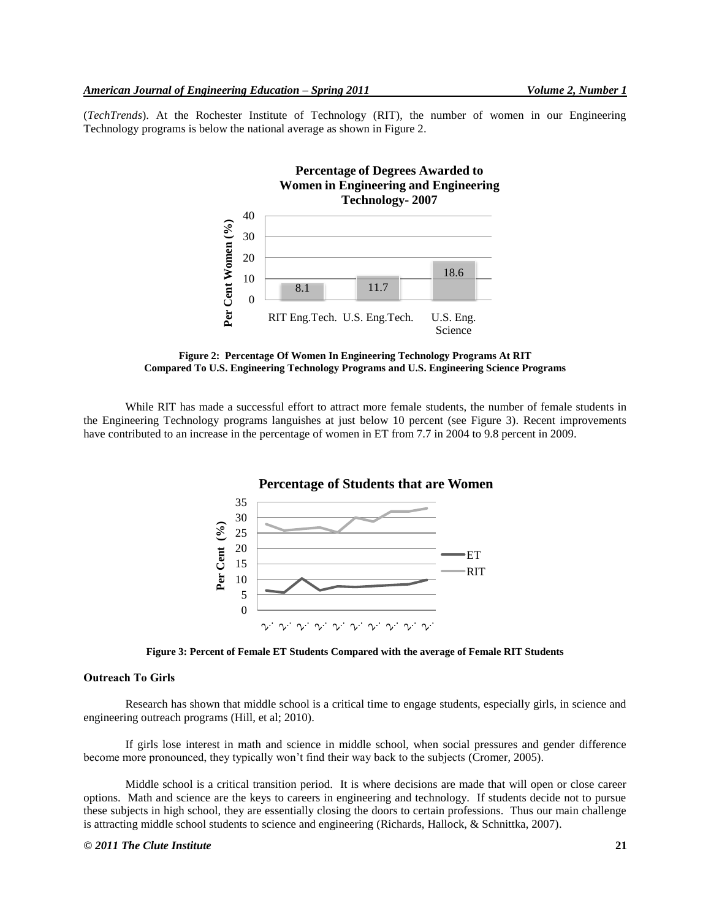(*TechTrends*). At the Rochester Institute of Technology (RIT), the number of women in our Engineering Technology programs is below the national average as shown in Figure 2.



**Figure 2: Percentage Of Women In Engineering Technology Programs At RIT Compared To U.S. Engineering Technology Programs and U.S. Engineering Science Programs**

While RIT has made a successful effort to attract more female students, the number of female students in the Engineering Technology programs languishes at just below 10 percent (see Figure 3). Recent improvements have contributed to an increase in the percentage of women in ET from 7.7 in 2004 to 9.8 percent in 2009.



**Figure 3: Percent of Female ET Students Compared with the average of Female RIT Students**

# **Outreach To Girls**

Research has shown that middle school is a critical time to engage students, especially girls, in science and engineering outreach programs (Hill, et al; 2010).

If girls lose interest in math and science in middle school, when social pressures and gender difference become more pronounced, they typically won't find their way back to the subjects (Cromer, 2005).

Middle school is a critical transition period. It is where decisions are made that will open or close career options. Math and science are the keys to careers in engineering and technology. If students decide not to pursue these subjects in high school, they are essentially closing the doors to certain professions. Thus our main challenge is attracting middle school students to science and engineering (Richards, Hallock, & Schnittka, 2007).

#### *© 2011 The Clute Institute* **21**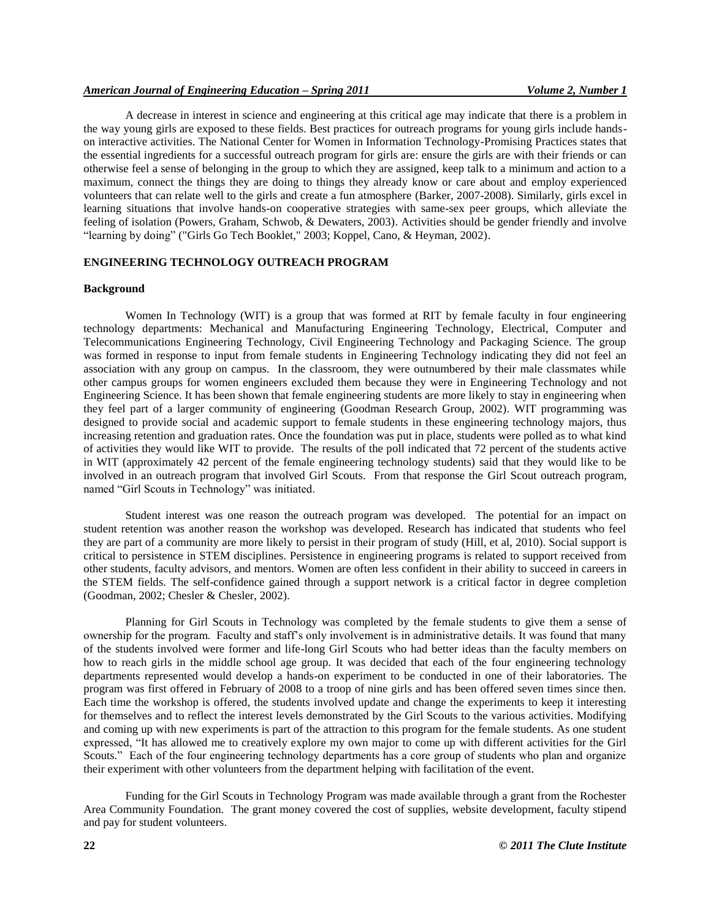A decrease in interest in science and engineering at this critical age may indicate that there is a problem in the way young girls are exposed to these fields. Best practices for outreach programs for young girls include handson interactive activities. The National Center for Women in Information Technology-Promising Practices states that the essential ingredients for a successful outreach program for girls are: ensure the girls are with their friends or can otherwise feel a sense of belonging in the group to which they are assigned, keep talk to a minimum and action to a maximum, connect the things they are doing to things they already know or care about and employ experienced volunteers that can relate well to the girls and create a fun atmosphere (Barker, 2007-2008). Similarly, girls excel in learning situations that involve hands-on cooperative strategies with same-sex peer groups, which alleviate the feeling of isolation (Powers, Graham, Schwob, & Dewaters, 2003). Activities should be gender friendly and involve "learning by doing" ("Girls Go Tech Booklet," 2003; Koppel, Cano, & Heyman, 2002).

# **ENGINEERING TECHNOLOGY OUTREACH PROGRAM**

#### **Background**

Women In Technology (WIT) is a group that was formed at RIT by female faculty in four engineering technology departments: Mechanical and Manufacturing Engineering Technology, Electrical, Computer and Telecommunications Engineering Technology, Civil Engineering Technology and Packaging Science. The group was formed in response to input from female students in Engineering Technology indicating they did not feel an association with any group on campus. In the classroom, they were outnumbered by their male classmates while other campus groups for women engineers excluded them because they were in Engineering Technology and not Engineering Science. It has been shown that female engineering students are more likely to stay in engineering when they feel part of a larger community of engineering (Goodman Research Group, 2002). WIT programming was designed to provide social and academic support to female students in these engineering technology majors, thus increasing retention and graduation rates. Once the foundation was put in place, students were polled as to what kind of activities they would like WIT to provide. The results of the poll indicated that 72 percent of the students active in WIT (approximately 42 percent of the female engineering technology students) said that they would like to be involved in an outreach program that involved Girl Scouts. From that response the Girl Scout outreach program, named "Girl Scouts in Technology" was initiated.

Student interest was one reason the outreach program was developed. The potential for an impact on student retention was another reason the workshop was developed. Research has indicated that students who feel they are part of a community are more likely to persist in their program of study (Hill, et al, 2010). Social support is critical to persistence in STEM disciplines. Persistence in engineering programs is related to support received from other students, faculty advisors, and mentors. Women are often less confident in their ability to succeed in careers in the STEM fields. The self-confidence gained through a support network is a critical factor in degree completion (Goodman, 2002; Chesler & Chesler, 2002).

Planning for Girl Scouts in Technology was completed by the female students to give them a sense of ownership for the program. Faculty and staff's only involvement is in administrative details. It was found that many of the students involved were former and life-long Girl Scouts who had better ideas than the faculty members on how to reach girls in the middle school age group. It was decided that each of the four engineering technology departments represented would develop a hands-on experiment to be conducted in one of their laboratories. The program was first offered in February of 2008 to a troop of nine girls and has been offered seven times since then. Each time the workshop is offered, the students involved update and change the experiments to keep it interesting for themselves and to reflect the interest levels demonstrated by the Girl Scouts to the various activities. Modifying and coming up with new experiments is part of the attraction to this program for the female students. As one student expressed, "It has allowed me to creatively explore my own major to come up with different activities for the Girl Scouts." Each of the four engineering technology departments has a core group of students who plan and organize their experiment with other volunteers from the department helping with facilitation of the event.

Funding for the Girl Scouts in Technology Program was made available through a grant from the Rochester Area Community Foundation. The grant money covered the cost of supplies, website development, faculty stipend and pay for student volunteers.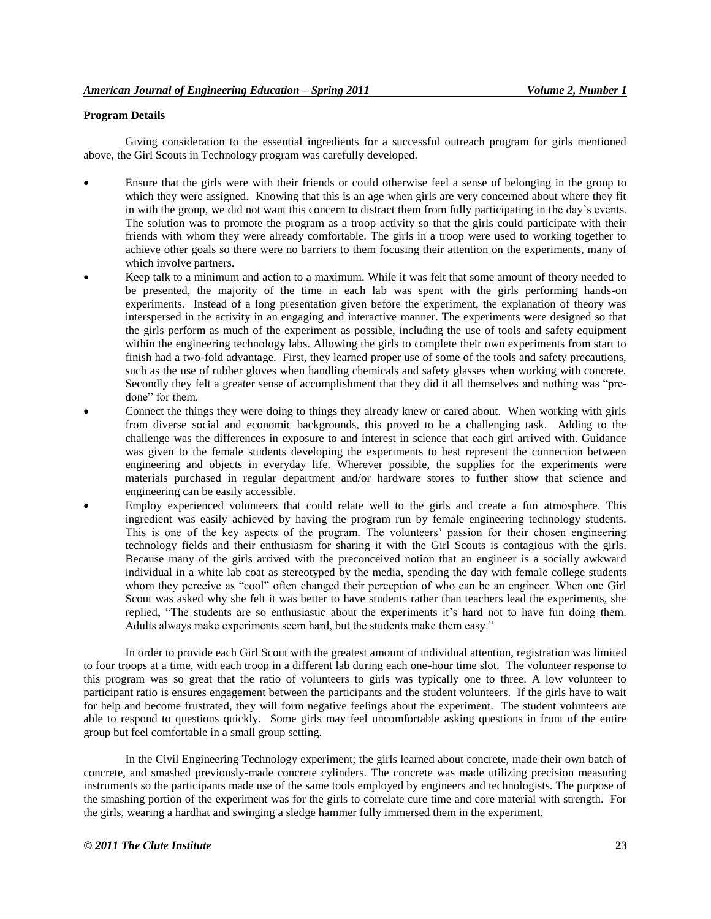# **Program Details**

Giving consideration to the essential ingredients for a successful outreach program for girls mentioned above, the Girl Scouts in Technology program was carefully developed.

- Ensure that the girls were with their friends or could otherwise feel a sense of belonging in the group to which they were assigned. Knowing that this is an age when girls are very concerned about where they fit in with the group, we did not want this concern to distract them from fully participating in the day's events. The solution was to promote the program as a troop activity so that the girls could participate with their friends with whom they were already comfortable. The girls in a troop were used to working together to achieve other goals so there were no barriers to them focusing their attention on the experiments, many of which involve partners.
- Keep talk to a minimum and action to a maximum. While it was felt that some amount of theory needed to be presented, the majority of the time in each lab was spent with the girls performing hands-on experiments. Instead of a long presentation given before the experiment, the explanation of theory was interspersed in the activity in an engaging and interactive manner. The experiments were designed so that the girls perform as much of the experiment as possible, including the use of tools and safety equipment within the engineering technology labs. Allowing the girls to complete their own experiments from start to finish had a two-fold advantage. First, they learned proper use of some of the tools and safety precautions, such as the use of rubber gloves when handling chemicals and safety glasses when working with concrete. Secondly they felt a greater sense of accomplishment that they did it all themselves and nothing was "predone" for them.
- Connect the things they were doing to things they already knew or cared about. When working with girls from diverse social and economic backgrounds, this proved to be a challenging task. Adding to the challenge was the differences in exposure to and interest in science that each girl arrived with. Guidance was given to the female students developing the experiments to best represent the connection between engineering and objects in everyday life. Wherever possible, the supplies for the experiments were materials purchased in regular department and/or hardware stores to further show that science and engineering can be easily accessible.
- Employ experienced volunteers that could relate well to the girls and create a fun atmosphere. This ingredient was easily achieved by having the program run by female engineering technology students. This is one of the key aspects of the program. The volunteers' passion for their chosen engineering technology fields and their enthusiasm for sharing it with the Girl Scouts is contagious with the girls. Because many of the girls arrived with the preconceived notion that an engineer is a socially awkward individual in a white lab coat as stereotyped by the media, spending the day with female college students whom they perceive as "cool" often changed their perception of who can be an engineer. When one Girl Scout was asked why she felt it was better to have students rather than teachers lead the experiments, she replied, "The students are so enthusiastic about the experiments it's hard not to have fun doing them. Adults always make experiments seem hard, but the students make them easy."

In order to provide each Girl Scout with the greatest amount of individual attention, registration was limited to four troops at a time, with each troop in a different lab during each one-hour time slot. The volunteer response to this program was so great that the ratio of volunteers to girls was typically one to three. A low volunteer to participant ratio is ensures engagement between the participants and the student volunteers. If the girls have to wait for help and become frustrated, they will form negative feelings about the experiment. The student volunteers are able to respond to questions quickly. Some girls may feel uncomfortable asking questions in front of the entire group but feel comfortable in a small group setting.

In the Civil Engineering Technology experiment; the girls learned about concrete, made their own batch of concrete, and smashed previously-made concrete cylinders. The concrete was made utilizing precision measuring instruments so the participants made use of the same tools employed by engineers and technologists. The purpose of the smashing portion of the experiment was for the girls to correlate cure time and core material with strength. For the girls, wearing a hardhat and swinging a sledge hammer fully immersed them in the experiment.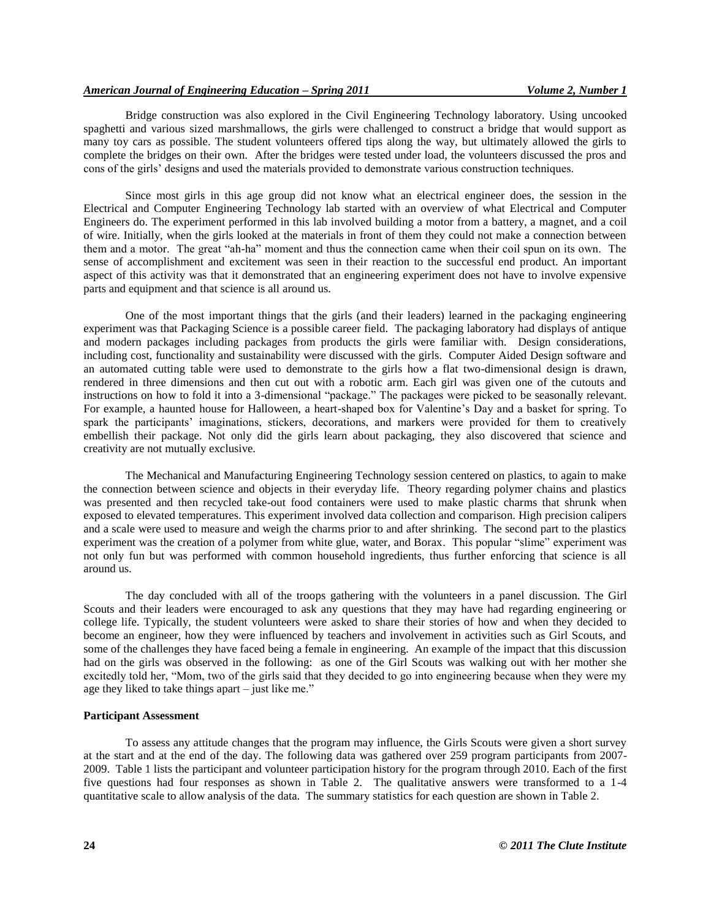# *American Journal of Engineering Education – Spring 2011 Volume 2, Number 1*

Bridge construction was also explored in the Civil Engineering Technology laboratory. Using uncooked spaghetti and various sized marshmallows, the girls were challenged to construct a bridge that would support as many toy cars as possible. The student volunteers offered tips along the way, but ultimately allowed the girls to complete the bridges on their own. After the bridges were tested under load, the volunteers discussed the pros and cons of the girls' designs and used the materials provided to demonstrate various construction techniques.

Since most girls in this age group did not know what an electrical engineer does, the session in the Electrical and Computer Engineering Technology lab started with an overview of what Electrical and Computer Engineers do. The experiment performed in this lab involved building a motor from a battery, a magnet, and a coil of wire. Initially, when the girls looked at the materials in front of them they could not make a connection between them and a motor. The great "ah-ha" moment and thus the connection came when their coil spun on its own. The sense of accomplishment and excitement was seen in their reaction to the successful end product. An important aspect of this activity was that it demonstrated that an engineering experiment does not have to involve expensive parts and equipment and that science is all around us.

One of the most important things that the girls (and their leaders) learned in the packaging engineering experiment was that Packaging Science is a possible career field. The packaging laboratory had displays of antique and modern packages including packages from products the girls were familiar with. Design considerations, including cost, functionality and sustainability were discussed with the girls. Computer Aided Design software and an automated cutting table were used to demonstrate to the girls how a flat two-dimensional design is drawn, rendered in three dimensions and then cut out with a robotic arm. Each girl was given one of the cutouts and instructions on how to fold it into a 3-dimensional "package." The packages were picked to be seasonally relevant. For example, a haunted house for Halloween, a heart-shaped box for Valentine's Day and a basket for spring. To spark the participants' imaginations, stickers, decorations, and markers were provided for them to creatively embellish their package. Not only did the girls learn about packaging, they also discovered that science and creativity are not mutually exclusive.

The Mechanical and Manufacturing Engineering Technology session centered on plastics, to again to make the connection between science and objects in their everyday life. Theory regarding polymer chains and plastics was presented and then recycled take-out food containers were used to make plastic charms that shrunk when exposed to elevated temperatures. This experiment involved data collection and comparison. High precision calipers and a scale were used to measure and weigh the charms prior to and after shrinking. The second part to the plastics experiment was the creation of a polymer from white glue, water, and Borax. This popular "slime" experiment was not only fun but was performed with common household ingredients, thus further enforcing that science is all around us.

The day concluded with all of the troops gathering with the volunteers in a panel discussion. The Girl Scouts and their leaders were encouraged to ask any questions that they may have had regarding engineering or college life. Typically, the student volunteers were asked to share their stories of how and when they decided to become an engineer, how they were influenced by teachers and involvement in activities such as Girl Scouts, and some of the challenges they have faced being a female in engineering. An example of the impact that this discussion had on the girls was observed in the following: as one of the Girl Scouts was walking out with her mother she excitedly told her, "Mom, two of the girls said that they decided to go into engineering because when they were my age they liked to take things apart – just like me."

#### **Participant Assessment**

To assess any attitude changes that the program may influence, the Girls Scouts were given a short survey at the start and at the end of the day. The following data was gathered over 259 program participants from 2007- 2009. Table 1 lists the participant and volunteer participation history for the program through 2010. Each of the first five questions had four responses as shown in Table 2. The qualitative answers were transformed to a 1-4 quantitative scale to allow analysis of the data. The summary statistics for each question are shown in Table 2.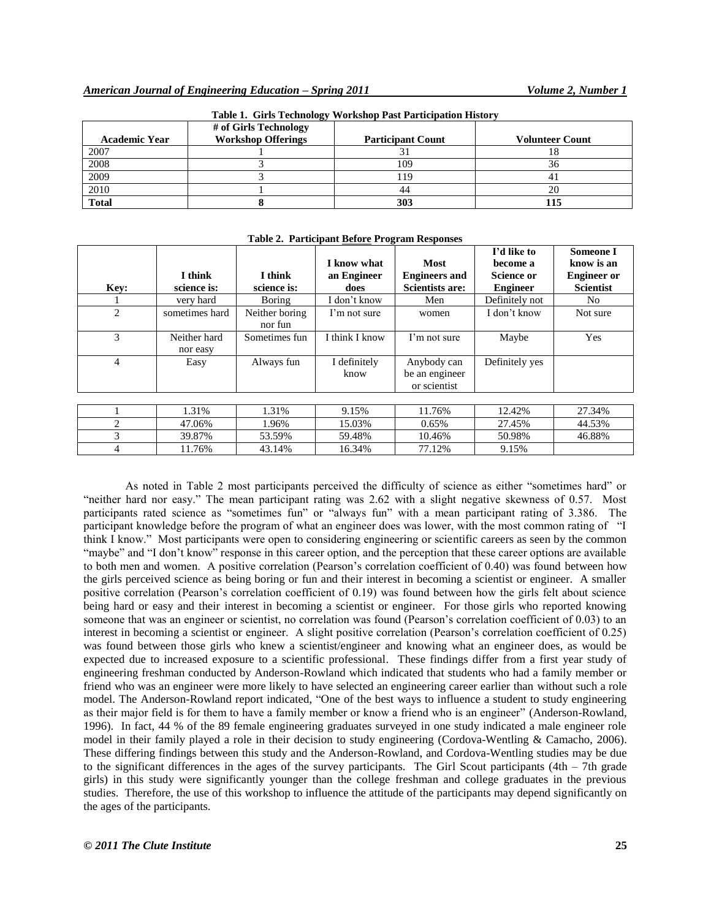| <b>Academic Year</b> | # of Girls Technology<br><b>Workshop Offerings</b> | <b>Participant Count</b> | <b>Volunteer Count</b> |
|----------------------|----------------------------------------------------|--------------------------|------------------------|
| 2007                 |                                                    |                          | 10                     |
| 2008                 |                                                    | 109                      | 36                     |
| 2009                 |                                                    | 19                       |                        |
| 2010                 |                                                    | 44                       | 20                     |
| <b>Total</b>         |                                                    | 303                      |                        |

**Table 1. Girls Technology Workshop Past Participation History**

| Key:                          | I think<br>science is:   | I think<br>science is:    | I know what<br>an Engineer<br>does | <b>Most</b><br><b>Engineers and</b><br>Scientists are: | I'd like to<br>become a<br><b>Science or</b><br><b>Engineer</b> | <b>Someone I</b><br>know is an<br><b>Engineer</b> or<br><b>Scientist</b> |
|-------------------------------|--------------------------|---------------------------|------------------------------------|--------------------------------------------------------|-----------------------------------------------------------------|--------------------------------------------------------------------------|
|                               | very hard                | <b>Boring</b>             | [ don't know                       | Men                                                    | Definitely not                                                  | No                                                                       |
| $\mathfrak{D}_{\mathfrak{p}}$ | sometimes hard           | Neither boring<br>nor fun | I'm not sure                       | women                                                  | I don't know                                                    | Not sure                                                                 |
| 3                             | Neither hard<br>nor easy | Sometimes fun             | I think I know                     | I'm not sure                                           | Maybe                                                           | Yes                                                                      |
| 4                             | Easy                     | Always fun                | I definitely<br>know               | Anybody can<br>be an engineer<br>or scientist          | Definitely yes                                                  |                                                                          |

1 | 1.31% | 1.31% | 9.15% | 11.76% | 12.42% | 27.34% 2 47.06% 1.96% 15.03% 0.65% 27.45% 44.53% 3 39.87% 53.59% 59.48% 10.46% 50.98% 46.88%

4 11.76% 43.14% 16.34% 77.12% 9.15%

#### **Table 2. Participant Before Program Responses**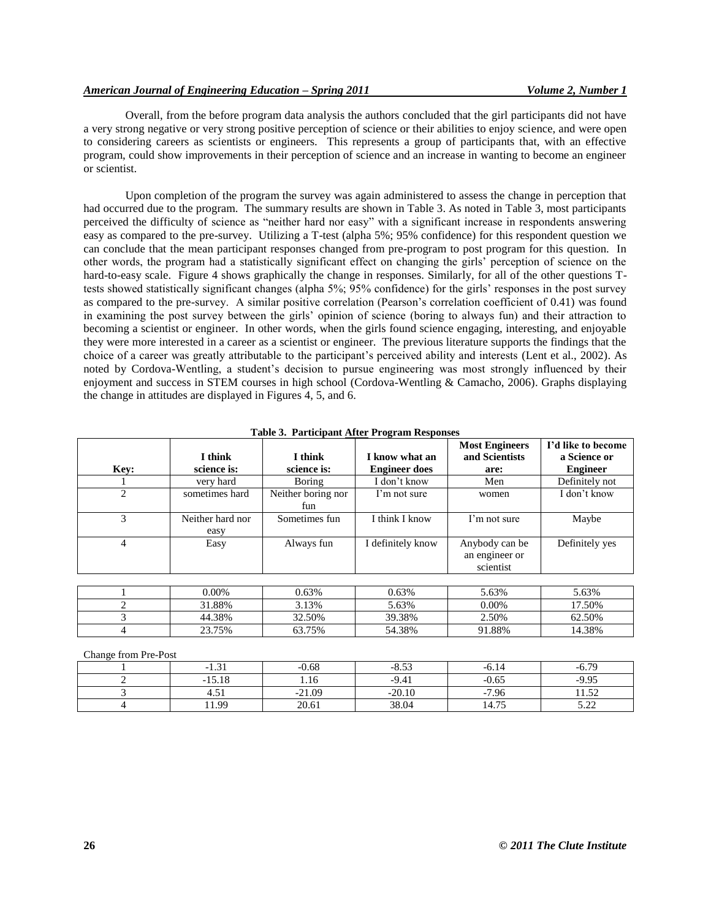Overall, from the before program data analysis the authors concluded that the girl participants did not have a very strong negative or very strong positive perception of science or their abilities to enjoy science, and were open to considering careers as scientists or engineers. This represents a group of participants that, with an effective program, could show improvements in their perception of science and an increase in wanting to become an engineer or scientist.

Upon completion of the program the survey was again administered to assess the change in perception that had occurred due to the program. The summary results are shown in Table 3. As noted in Table 3, most participants perceived the difficulty of science as "neither hard nor easy" with a significant increase in respondents answering easy as compared to the pre-survey. Utilizing a T-test (alpha 5%; 95% confidence) for this respondent question we can conclude that the mean participant responses changed from pre-program to post program for this question. In other words, the program had a statistically significant effect on changing the girls' perception of science on the hard-to-easy scale. Figure 4 shows graphically the change in responses. Similarly, for all of the other questions Ttests showed statistically significant changes (alpha 5%; 95% confidence) for the girls' responses in the post survey as compared to the pre-survey. A similar positive correlation (Pearson's correlation coefficient of 0.41) was found in examining the post survey between the girls' opinion of science (boring to always fun) and their attraction to becoming a scientist or engineer. In other words, when the girls found science engaging, interesting, and enjoyable they were more interested in a career as a scientist or engineer. The previous literature supports the findings that the choice of a career was greatly attributable to the participant's perceived ability and interests (Lent et al., 2002). As noted by Cordova-Wentling, a student's decision to pursue engineering was most strongly influenced by their enjoyment and success in STEM courses in high school (Cordova-Wentling & Camacho, 2006). Graphs displaying the change in attitudes are displayed in Figures 4, 5, and 6.

|                | I think                  | I think                   | I know what an       | <b>Most Engineers</b><br>and Scientists       | I'd like to become<br>a Science or |
|----------------|--------------------------|---------------------------|----------------------|-----------------------------------------------|------------------------------------|
| Key:           | science is:              | science is:               | <b>Engineer does</b> | are:                                          | <b>Engineer</b>                    |
|                | very hard                | Boring                    | I don't know         | Men                                           | Definitely not                     |
| $\overline{c}$ | sometimes hard           | Neither boring nor<br>fun | I'm not sure         | women                                         | I don't know                       |
| 3              | Neither hard nor<br>easy | Sometimes fun             | I think I know       | I'm not sure                                  | Maybe                              |
| 4              | Easy                     | Always fun                | I definitely know    | Anybody can be<br>an engineer or<br>scientist | Definitely yes                     |
|                |                          |                           |                      |                                               |                                    |
|                | $0.00\%$                 | 0.63%                     | 0.63%                | 5.63%                                         | 5.63%                              |
| 2              | 31.88%                   | 3.13%                     | 5.63%                | $0.00\%$                                      | 17.50%                             |
| 3              | 44.38%                   | 32.50%                    | 39.38%               | 2.50%                                         | 62.50%                             |

|  |  | Table 3. Participant After Program Responses |  |  |  |
|--|--|----------------------------------------------|--|--|--|
|--|--|----------------------------------------------|--|--|--|

Change from Pre-Post

| $\sim$<br>- 1<br>1.J I | $-0.68$  | $-8.53$  | -6.14           | $-6.79$       |
|------------------------|----------|----------|-----------------|---------------|
| $-15.18$               | 1.16     | $-9.41$  | $-0.65$         | $-9.95$       |
| 7.JI                   | $-21.09$ | $-20.10$ | $-7.96$<br>$-1$ | 50<br>11.JA   |
| 11.99                  | 20.61    | 38.04    | 14.75           | 5.22<br>ے ۔۔۔ |

4 | 23.75% | 63.75% | 54.38% | 91.88% | 14.38%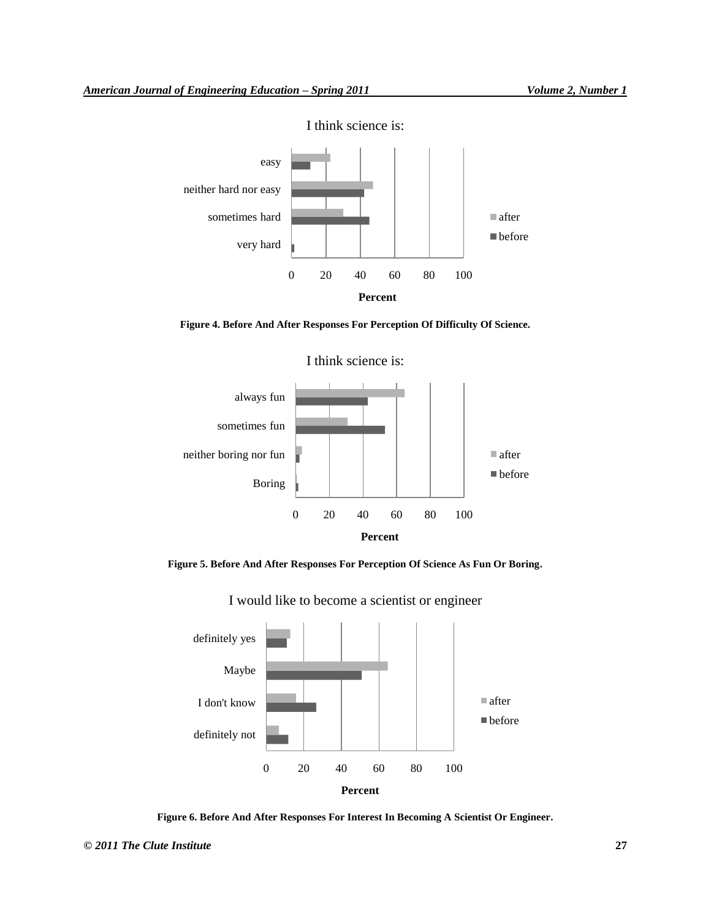

I think science is:

**Figure 4. Before And After Responses For Perception Of Difficulty Of Science.**



**Figure 5. Before And After Responses For Perception Of Science As Fun Or Boring.**



I would like to become a scientist or engineer

**Figure 6. Before And After Responses For Interest In Becoming A Scientist Or Engineer.**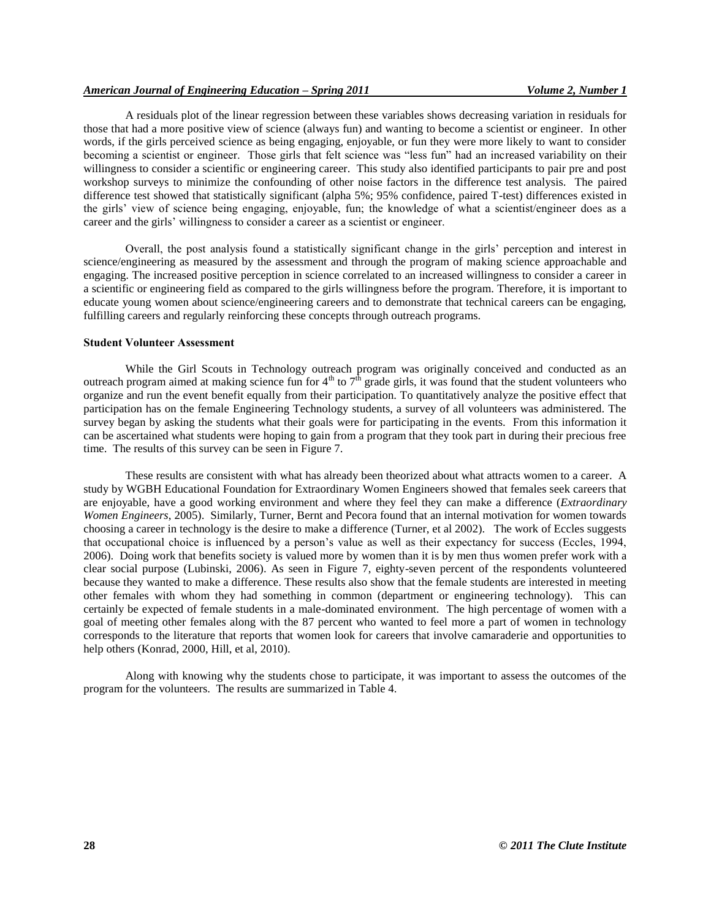A residuals plot of the linear regression between these variables shows decreasing variation in residuals for those that had a more positive view of science (always fun) and wanting to become a scientist or engineer. In other words, if the girls perceived science as being engaging, enjoyable, or fun they were more likely to want to consider becoming a scientist or engineer. Those girls that felt science was "less fun" had an increased variability on their willingness to consider a scientific or engineering career. This study also identified participants to pair pre and post workshop surveys to minimize the confounding of other noise factors in the difference test analysis. The paired difference test showed that statistically significant (alpha 5%; 95% confidence, paired T-test) differences existed in the girls' view of science being engaging, enjoyable, fun; the knowledge of what a scientist/engineer does as a career and the girls' willingness to consider a career as a scientist or engineer.

Overall, the post analysis found a statistically significant change in the girls' perception and interest in science/engineering as measured by the assessment and through the program of making science approachable and engaging. The increased positive perception in science correlated to an increased willingness to consider a career in a scientific or engineering field as compared to the girls willingness before the program. Therefore, it is important to educate young women about science/engineering careers and to demonstrate that technical careers can be engaging, fulfilling careers and regularly reinforcing these concepts through outreach programs.

#### **Student Volunteer Assessment**

While the Girl Scouts in Technology outreach program was originally conceived and conducted as an outreach program aimed at making science fun for  $4<sup>th</sup>$  to  $7<sup>th</sup>$  grade girls, it was found that the student volunteers who organize and run the event benefit equally from their participation. To quantitatively analyze the positive effect that participation has on the female Engineering Technology students, a survey of all volunteers was administered. The survey began by asking the students what their goals were for participating in the events. From this information it can be ascertained what students were hoping to gain from a program that they took part in during their precious free time. The results of this survey can be seen in Figure 7.

These results are consistent with what has already been theorized about what attracts women to a career. A study by WGBH Educational Foundation for Extraordinary Women Engineers showed that females seek careers that are enjoyable, have a good working environment and where they feel they can make a difference (*Extraordinary Women Engineers*, 2005). Similarly, Turner, Bernt and Pecora found that an internal motivation for women towards choosing a career in technology is the desire to make a difference (Turner, et al 2002). The work of Eccles suggests that occupational choice is influenced by a person's value as well as their expectancy for success (Eccles, 1994, 2006). Doing work that benefits society is valued more by women than it is by men thus women prefer work with a clear social purpose (Lubinski, 2006). As seen in Figure 7, eighty-seven percent of the respondents volunteered because they wanted to make a difference. These results also show that the female students are interested in meeting other females with whom they had something in common (department or engineering technology). This can certainly be expected of female students in a male-dominated environment. The high percentage of women with a goal of meeting other females along with the 87 percent who wanted to feel more a part of women in technology corresponds to the literature that reports that women look for careers that involve camaraderie and opportunities to help others (Konrad, 2000, Hill, et al, 2010).

Along with knowing why the students chose to participate, it was important to assess the outcomes of the program for the volunteers. The results are summarized in Table 4.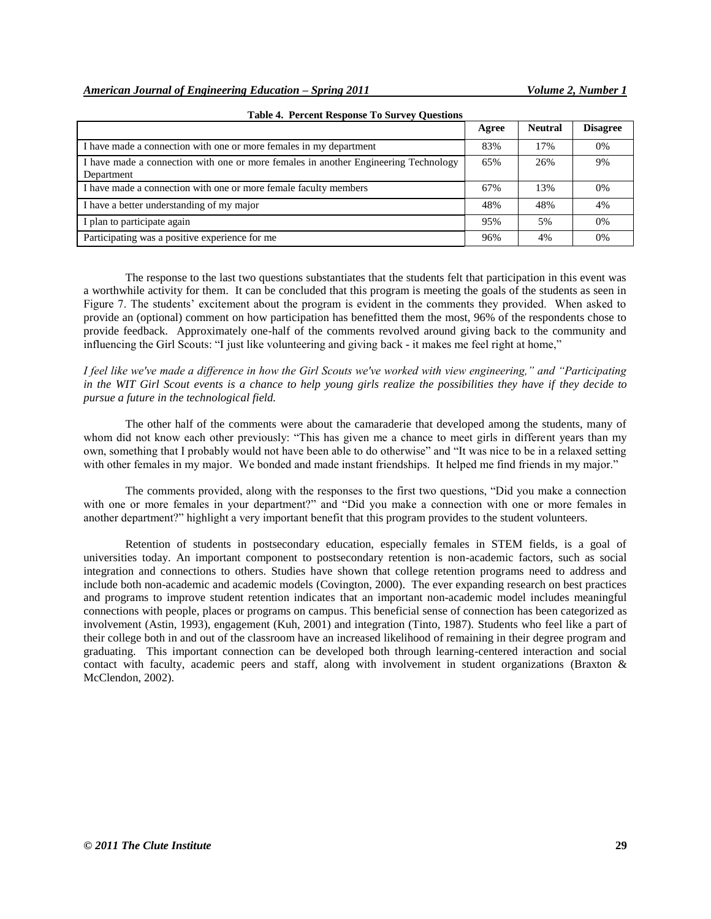|                                                                                                   | Agree | <b>Neutral</b> | <b>Disagree</b> |
|---------------------------------------------------------------------------------------------------|-------|----------------|-----------------|
| I have made a connection with one or more females in my department                                | 83%   | 17%            | 0%              |
| I have made a connection with one or more females in another Engineering Technology<br>Department | 65%   | 26%            | 9%              |
| I have made a connection with one or more female faculty members                                  | 67%   | 13%            | 0%              |
| I have a better understanding of my major                                                         | 48%   | 48%            | 4%              |
| I plan to participate again                                                                       | 95%   | .5%            | 0%              |
| Participating was a positive experience for me                                                    | 96%   | 4%             | 0%              |

#### **Table 4. Percent Response To Survey Questions**

The response to the last two questions substantiates that the students felt that participation in this event was a worthwhile activity for them. It can be concluded that this program is meeting the goals of the students as seen in Figure 7. The students' excitement about the program is evident in the comments they provided. When asked to provide an (optional) comment on how participation has benefitted them the most, 96% of the respondents chose to provide feedback. Approximately one-half of the comments revolved around giving back to the community and influencing the Girl Scouts: "I just like volunteering and giving back - it makes me feel right at home,"

*I feel like we've made a difference in how the Girl Scouts we've worked with view engineering," and "Participating in the WIT Girl Scout events is a chance to help young girls realize the possibilities they have if they decide to pursue a future in the technological field.*

The other half of the comments were about the camaraderie that developed among the students, many of whom did not know each other previously: "This has given me a chance to meet girls in different years than my own, something that I probably would not have been able to do otherwise" and "It was nice to be in a relaxed setting with other females in my major. We bonded and made instant friendships. It helped me find friends in my major."

The comments provided, along with the responses to the first two questions, "Did you make a connection with one or more females in your department?" and "Did you make a connection with one or more females in another department?" highlight a very important benefit that this program provides to the student volunteers.

Retention of students in postsecondary education, especially females in STEM fields, is a goal of universities today. An important component to postsecondary retention is non-academic factors, such as social integration and connections to others. Studies have shown that college retention programs need to address and include both non-academic and academic models (Covington, 2000). The ever expanding research on best practices and programs to improve student retention indicates that an important non-academic model includes meaningful connections with people, places or programs on campus. This beneficial sense of connection has been categorized as involvement (Astin, 1993), engagement (Kuh, 2001) and integration (Tinto, 1987). Students who feel like a part of their college both in and out of the classroom have an increased likelihood of remaining in their degree program and graduating. This important connection can be developed both through learning-centered interaction and social contact with faculty, academic peers and staff, along with involvement in student organizations (Braxton & McClendon, 2002).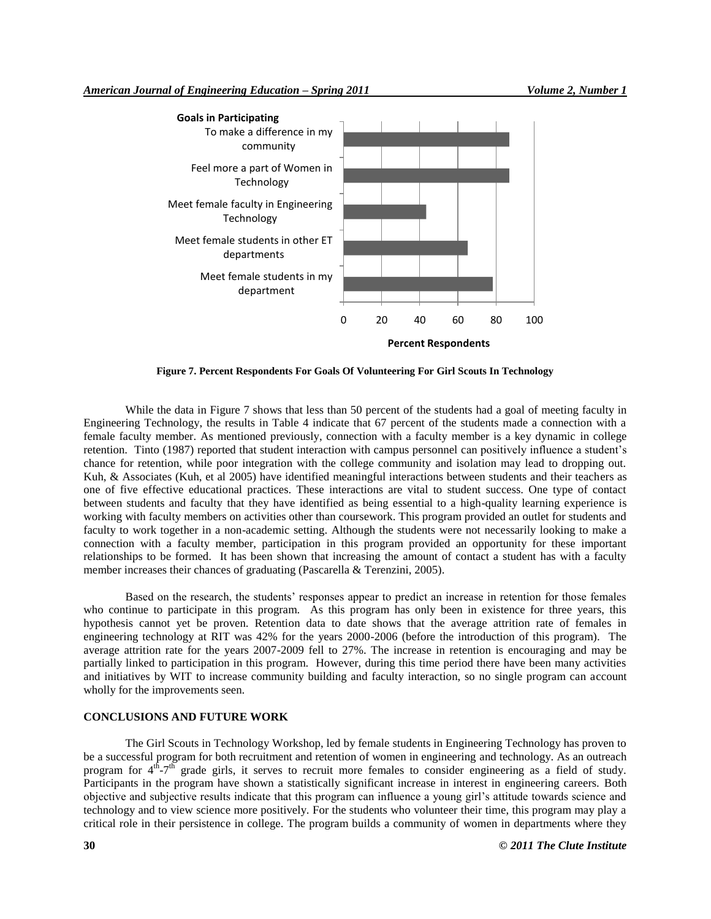

**Figure 7. Percent Respondents For Goals Of Volunteering For Girl Scouts In Technology**

While the data in Figure 7 shows that less than 50 percent of the students had a goal of meeting faculty in Engineering Technology, the results in Table 4 indicate that 67 percent of the students made a connection with a female faculty member. As mentioned previously, connection with a faculty member is a key dynamic in college retention. Tinto (1987) reported that student interaction with campus personnel can positively influence a student's chance for retention, while poor integration with the college community and isolation may lead to dropping out. Kuh, & Associates (Kuh, et al 2005) have identified meaningful interactions between students and their teachers as one of five effective educational practices. These interactions are vital to student success. One type of contact between students and faculty that they have identified as being essential to a high-quality learning experience is working with faculty members on activities other than coursework. This program provided an outlet for students and faculty to work together in a non-academic setting. Although the students were not necessarily looking to make a connection with a faculty member, participation in this program provided an opportunity for these important relationships to be formed. It has been shown that increasing the amount of contact a student has with a faculty member increases their chances of graduating (Pascarella & Terenzini, 2005).

Based on the research, the students' responses appear to predict an increase in retention for those females who continue to participate in this program. As this program has only been in existence for three years, this hypothesis cannot yet be proven. Retention data to date shows that the average attrition rate of females in engineering technology at RIT was 42% for the years 2000-2006 (before the introduction of this program). The average attrition rate for the years 2007-2009 fell to 27%. The increase in retention is encouraging and may be partially linked to participation in this program. However, during this time period there have been many activities and initiatives by WIT to increase community building and faculty interaction, so no single program can account wholly for the improvements seen.

#### **CONCLUSIONS AND FUTURE WORK**

The Girl Scouts in Technology Workshop, led by female students in Engineering Technology has proven to be a successful program for both recruitment and retention of women in engineering and technology. As an outreach program for  $4<sup>th</sup> - 7<sup>th</sup>$  grade girls, it serves to recruit more females to consider engineering as a field of study. Participants in the program have shown a statistically significant increase in interest in engineering careers. Both objective and subjective results indicate that this program can influence a young girl's attitude towards science and technology and to view science more positively. For the students who volunteer their time, this program may play a critical role in their persistence in college. The program builds a community of women in departments where they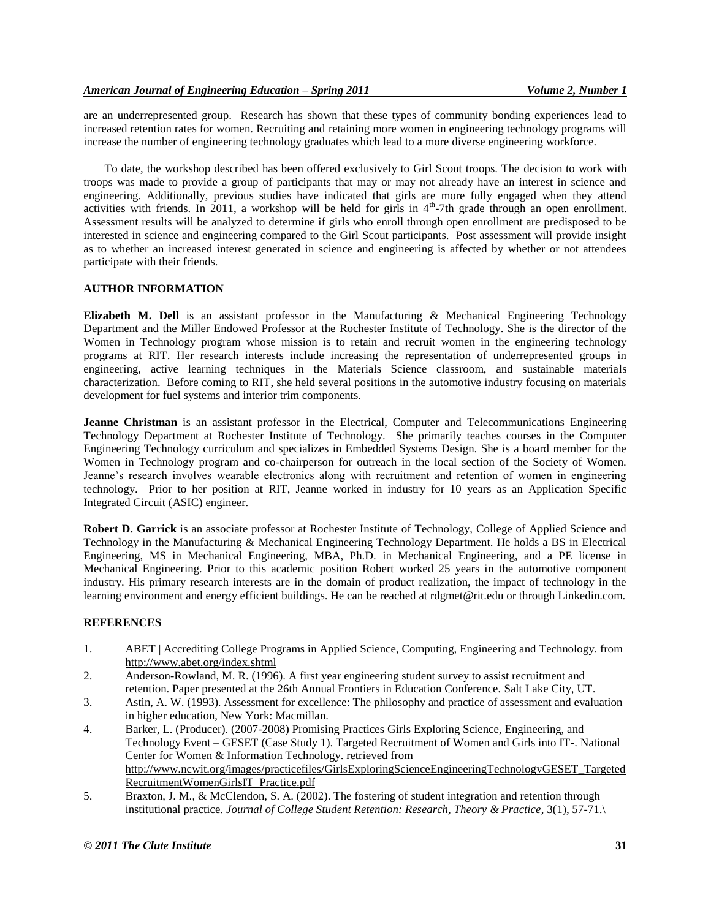are an underrepresented group. Research has shown that these types of community bonding experiences lead to increased retention rates for women. Recruiting and retaining more women in engineering technology programs will increase the number of engineering technology graduates which lead to a more diverse engineering workforce.

To date, the workshop described has been offered exclusively to Girl Scout troops. The decision to work with troops was made to provide a group of participants that may or may not already have an interest in science and engineering. Additionally, previous studies have indicated that girls are more fully engaged when they attend activities with friends. In 2011, a workshop will be held for girls in  $4<sup>th</sup>$ -7th grade through an open enrollment. Assessment results will be analyzed to determine if girls who enroll through open enrollment are predisposed to be interested in science and engineering compared to the Girl Scout participants. Post assessment will provide insight as to whether an increased interest generated in science and engineering is affected by whether or not attendees participate with their friends.

## **AUTHOR INFORMATION**

**Elizabeth M. Dell** is an assistant professor in the Manufacturing & Mechanical Engineering Technology Department and the Miller Endowed Professor at the Rochester Institute of Technology. She is the director of the Women in Technology program whose mission is to retain and recruit women in the engineering technology programs at RIT. Her research interests include increasing the representation of underrepresented groups in engineering, active learning techniques in the Materials Science classroom, and sustainable materials characterization. Before coming to RIT, she held several positions in the automotive industry focusing on materials development for fuel systems and interior trim components.

**Jeanne Christman** is an assistant professor in the Electrical, Computer and Telecommunications Engineering Technology Department at Rochester Institute of Technology. She primarily teaches courses in the Computer Engineering Technology curriculum and specializes in Embedded Systems Design. She is a board member for the Women in Technology program and co-chairperson for outreach in the local section of the Society of Women. Jeanne's research involves wearable electronics along with recruitment and retention of women in engineering technology. Prior to her position at RIT, Jeanne worked in industry for 10 years as an Application Specific Integrated Circuit (ASIC) engineer.

**Robert D. Garrick** is an associate professor at Rochester Institute of Technology, College of Applied Science and Technology in the Manufacturing & Mechanical Engineering Technology Department. He holds a BS in Electrical Engineering, MS in Mechanical Engineering, MBA, Ph.D. in Mechanical Engineering, and a PE license in Mechanical Engineering. Prior to this academic position Robert worked 25 years in the automotive component industry. His primary research interests are in the domain of product realization, the impact of technology in the learning environment and energy efficient buildings. He can be reached at rdgmet@rit.edu or through Linkedin.com.

## **REFERENCES**

- 1. ABET | Accrediting College Programs in Applied Science, Computing, Engineering and Technology. from http://www.abet.org/index.shtml
- 2. Anderson-Rowland, M. R. (1996). A first year engineering student survey to assist recruitment and retention. Paper presented at the 26th Annual Frontiers in Education Conference. Salt Lake City, UT.
- 3. Astin, A. W. (1993). Assessment for excellence: The philosophy and practice of assessment and evaluation in higher education, New York: Macmillan.
- 4. Barker, L. (Producer). (2007-2008) Promising Practices Girls Exploring Science, Engineering, and Technology Event – GESET (Case Study 1). Targeted Recruitment of Women and Girls into IT-. National Center for Women & Information Technology. retrieved from http://www.ncwit.org/images/practicefiles/GirlsExploringScienceEngineeringTechnologyGESET\_Targeted RecruitmentWomenGirlsIT\_Practice.pdf
- 5. Braxton, J. M., & McClendon, S. A. (2002). The fostering of student integration and retention through institutional practice. *Journal of College Student Retention: Research, Theory & Practice*, 3(1), 57-71.\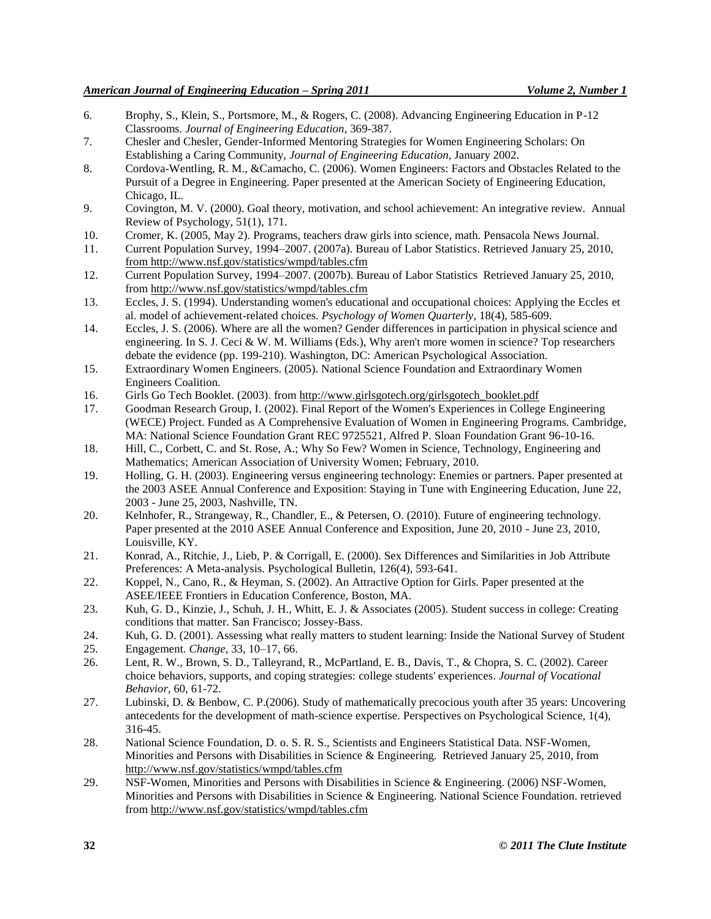- 6. Brophy, S., Klein, S., Portsmore, M., & Rogers, C. (2008). Advancing Engineering Education in P-12 Classrooms. *Journal of Engineering Education*, 369-387.
- 7. Chesler and Chesler, Gender-Informed Mentoring Strategies for Women Engineering Scholars: On Establishing a Caring Community, *Journal of Engineering Education*, January 2002.
- 8. Cordova-Wentling, R. M., &Camacho, C. (2006). Women Engineers: Factors and Obstacles Related to the Pursuit of a Degree in Engineering. Paper presented at the American Society of Engineering Education, Chicago, IL.
- 9. Covington, M. V. (2000). Goal theory, motivation, and school achievement: An integrative review. Annual Review of Psychology, 51(1), 171.
- 10. Cromer, K. (2005, May 2). Programs, teachers draw girls into science, math. Pensacola News Journal.
- 11. Current Population Survey, 1994–2007. (2007a). Bureau of Labor Statistics. Retrieved January 25, 2010, from http://www.nsf.gov/statistics/wmpd/tables.cfm
- 12. Current Population Survey, 1994–2007. (2007b). Bureau of Labor Statistics Retrieved January 25, 2010, from http://www.nsf.gov/statistics/wmpd/tables.cfm
- 13. Eccles, J. S. (1994). Understanding women's educational and occupational choices: Applying the Eccles et al. model of achievement-related choices. *Psychology of Women Quarterly*, 18(4), 585-609.
- 14. Eccles, J. S. (2006). Where are all the women? Gender differences in participation in physical science and engineering. In S. J. Ceci & W. M. Williams (Eds.), Why aren't more women in science? Top researchers debate the evidence (pp. 199-210). Washington, DC: American Psychological Association.
- 15. Extraordinary Women Engineers. (2005). National Science Foundation and Extraordinary Women Engineers Coalition.
- 16. Girls Go Tech Booklet. (2003). from http://www.girlsgotech.org/girlsgotech\_booklet.pdf
- 17. Goodman Research Group, I. (2002). Final Report of the Women's Experiences in College Engineering (WECE) Project. Funded as A Comprehensive Evaluation of Women in Engineering Programs. Cambridge, MA: National Science Foundation Grant REC 9725521, Alfred P. Sloan Foundation Grant 96-10-16.
- 18. Hill, C., Corbett, C. and St. Rose, A.; Why So Few? Women in Science, Technology, Engineering and Mathematics; American Association of University Women; February, 2010.
- 19. Holling, G. H. (2003). Engineering versus engineering technology: Enemies or partners. Paper presented at the 2003 ASEE Annual Conference and Exposition: Staying in Tune with Engineering Education, June 22, 2003 - June 25, 2003, Nashville, TN.
- 20. Kelnhofer, R., Strangeway, R., Chandler, E., & Petersen, O. (2010). Future of engineering technology. Paper presented at the 2010 ASEE Annual Conference and Exposition, June 20, 2010 - June 23, 2010, Louisville, KY.
- 21. Konrad, A., Ritchie, J., Lieb, P. & Corrigall, E. (2000). Sex Differences and Similarities in Job Attribute Preferences: A Meta-analysis. Psychological Bulletin, 126(4), 593-641.
- 22. Koppel, N., Cano, R., & Heyman, S. (2002). An Attractive Option for Girls. Paper presented at the ASEE/IEEE Frontiers in Education Conference, Boston, MA.
- 23. Kuh, G. D., Kinzie, J., Schuh, J. H., Whitt, E. J. & Associates (2005). Student success in college: Creating conditions that matter. San Francisco; Jossey-Bass.
- 24. Kuh, G. D. (2001). Assessing what really matters to student learning: Inside the National Survey of Student
- 25. Engagement. *Change*, 33, 10–17, 66.
- 26. Lent, R. W., Brown, S. D., Talleyrand, R., McPartland, E. B., Davis, T., & Chopra, S. C. (2002). Career choice behaviors, supports, and coping strategies: college students' experiences. *Journal of Vocational Behavior*, 60, 61-72.
- 27. Lubinski, D. & Benbow, C. P.(2006). Study of mathematically precocious youth after 35 years: Uncovering antecedents for the development of math-science expertise. Perspectives on Psychological Science, 1(4), 316-45.
- 28. National Science Foundation, D. o. S. R. S., Scientists and Engineers Statistical Data. NSF-Women, Minorities and Persons with Disabilities in Science & Engineering. Retrieved January 25, 2010, from http://www.nsf.gov/statistics/wmpd/tables.cfm
- 29. NSF-Women, Minorities and Persons with Disabilities in Science & Engineering. (2006) NSF-Women, Minorities and Persons with Disabilities in Science & Engineering. National Science Foundation. retrieved from http://www.nsf.gov/statistics/wmpd/tables.cfm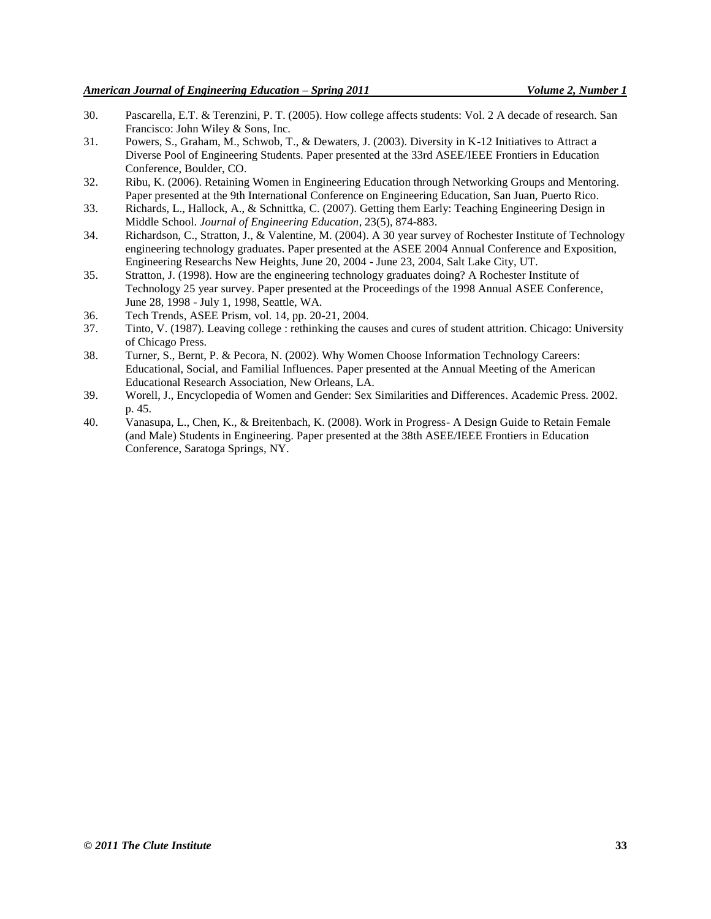- 30. Pascarella, E.T. & Terenzini, P. T. (2005). How college affects students: Vol. 2 A decade of research. San Francisco: John Wiley & Sons, Inc.
- 31. Powers, S., Graham, M., Schwob, T., & Dewaters, J. (2003). Diversity in K-12 Initiatives to Attract a Diverse Pool of Engineering Students. Paper presented at the 33rd ASEE/IEEE Frontiers in Education Conference, Boulder, CO.
- 32. Ribu, K. (2006). Retaining Women in Engineering Education through Networking Groups and Mentoring. Paper presented at the 9th International Conference on Engineering Education, San Juan, Puerto Rico.
- 33. Richards, L., Hallock, A., & Schnittka, C. (2007). Getting them Early: Teaching Engineering Design in Middle School. *Journal of Engineering Education*, 23(5), 874-883.
- 34. Richardson, C., Stratton, J., & Valentine, M. (2004). A 30 year survey of Rochester Institute of Technology engineering technology graduates. Paper presented at the ASEE 2004 Annual Conference and Exposition, Engineering Researchs New Heights, June 20, 2004 - June 23, 2004, Salt Lake City, UT.
- 35. Stratton, J. (1998). How are the engineering technology graduates doing? A Rochester Institute of Technology 25 year survey. Paper presented at the Proceedings of the 1998 Annual ASEE Conference, June 28, 1998 - July 1, 1998, Seattle, WA.
- 36. Tech Trends, ASEE Prism, vol. 14, pp. 20-21, 2004.
- 37. Tinto, V. (1987). Leaving college : rethinking the causes and cures of student attrition. Chicago: University of Chicago Press.
- 38. Turner, S., Bernt, P. & Pecora, N. (2002). Why Women Choose Information Technology Careers: Educational, Social, and Familial Influences. Paper presented at the Annual Meeting of the American Educational Research Association, New Orleans, LA.
- 39. Worell, J., Encyclopedia of Women and Gender: Sex Similarities and Differences. Academic Press. 2002. p. 45.
- 40. Vanasupa, L., Chen, K., & Breitenbach, K. (2008). Work in Progress- A Design Guide to Retain Female (and Male) Students in Engineering. Paper presented at the 38th ASEE/IEEE Frontiers in Education Conference, Saratoga Springs, NY.